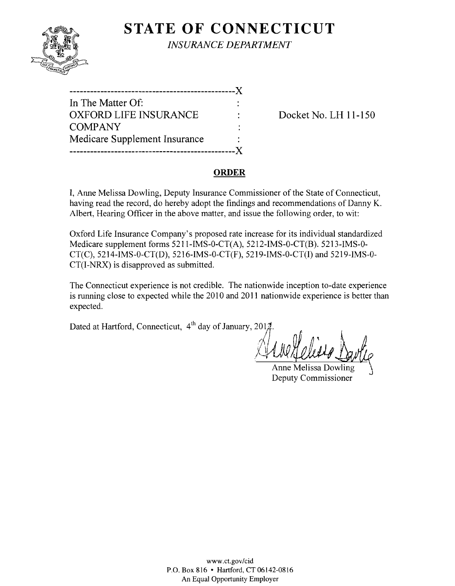

**STATE OF CONNECTICUT** *INSURANCE DEPARTMENT* 

| In The Matter Of:             |  |
|-------------------------------|--|
| <b>OXFORD LIFE INSURANCE</b>  |  |
| <b>COMPANY</b>                |  |
| Medicare Supplement Insurance |  |
|                               |  |

Docket No. LH 11-150

### **ORDER**

I, Anne Melissa Dowling, Deputy Insurance Commissioner of the State of Connecticut, having read the record, do hereby adopt the findings and recommendations of Danny K. Albert, Hearing Officer in the above matter, and issue the following order, to wit:

Oxford Life Insurance Company's proposed rate increase for its individual standardized Medicare supplement forms 5211-IMS-0-CT(A), 5212-IMS-0-CT(B). 5213-IMS-0 CT(C), 5214-IMS-0-CT(D), 5216-IMS-0-CT(F), 5219-IMS-0-CT(I) and 5219-IMS-0 CT(I-NRX) is disapproved as submitted.

The Connecticut experience is not credible. The nationwide inception to-date experience is running close to expected while the 2010 and 2011 nationwide experience is better than expected.

Dated at Hartford, Connecticut,  $4<sup>th</sup>$  day of January, 201 $\nexists$ 

**Anne Melissa Dowling** Deputy Commissioner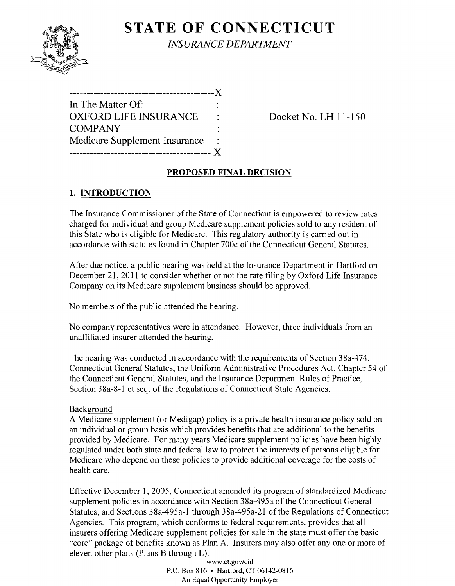**STATE OF CONNECTICUT** *INSURANCE DEPARTMENT* 

------------------------------------------)( In The Matter Of: OXFORD LIFE INSURANCE : Docket No. LH 11-150 **COMPANY** Medicare Supplement Insurance ----------------------------------------- )(

# **PROPOSED FINAL DECISION**

# **1. INTRODUCTION**

The Insurance Commissioner of the State of Connecticut is empowered to review rates charged for individual and group Medicare supplement policies sold to any resident of this State who is eligible for Medicare. This regulatory authority is carried out in accordance with statutes found in Chapter 700c of the Connecticut General Statutes.

After due notice, a public hearing was held at the Insurance Department in Hartford on December 21, 2011 to consider whether or not the rate filing by Oxford Life Insurance Company on its Medicare supplement business should be approved.

No members of the public attended the hearing.

No company representatives were in attendance. However, three individuals from an unaffiliated insurer attended the hearing.

The hearing was conducted in accordance with the requirements of Section 38a-474, Connecticut General Statutes, the Uniform Administrative Procedures Act, Chapter 54 of the Connecticut General Statutes, and the Insurance Department Rules of Practice, Section 38a-8-1 et seq. of the Regulations of Connecticut State Agencies.

## **Background**

A Medicare supplement (or Medigap) policy is a private health insurance policy sold on an individual or group basis which provides benefits that are additional to the benefits provided by Medicare. For many years Medicare supplement policies have been highly regulated under both state and federal law to protect the interests of persons eligible for Medicare who depend on these policies to provide additional coverage for the costs of health care.

Effective December 1,2005, Connecticut amended its program of standardized Medicare supplement policies in accordance with Section 38a-495a of the Connecticut General Statutes, and Sections 38a-495a-l through 38a-495a-21 of the Regulations of Connecticut Agencies. This program, which conforms to federal requirements, provides that all insurers offering Medicare supplement policies for sale in the state must offer the basic "core" package of benefits known as Plan A. Insurers may also offer anyone or more of eleven other plans (Plans B through L).

www.ct.gov/cid P.O. Box 816 • Hartford, CT 06142-0816 An Equal Opportunity Employer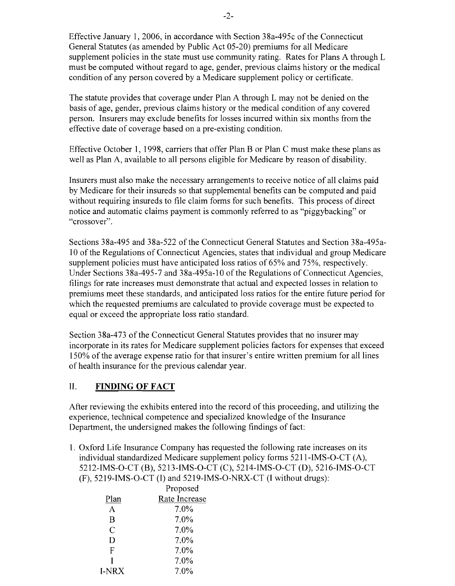Effective January 1, 2006, in accordance with Section 38a-495c of the Connecticut General Statutes (as amended by Public Act 05-20) premiums for all Medicare supplement policies in the state must use community rating. Rates for Plans A through L must be computed without regard to age, gender, previous claims history or the medical condition of any person covered by a Medicare supplement policy or certificate.

The statute provides that coverage under Plan A through L may not be denied on the basis of age, gender, previous claims history or the medical condition of any covered person. Insurers may exclude benefits for losses incurred within six months from the effective date of coverage based on a pre-existing condition.

Effective October 1, 1998, carriers that offer Plan B or Plan C must make these plans as well as Plan A, available to all persons eligible for Medicare by reason of disability.

Insurers must also make the necessary arrangements to receive notice of all claims paid by Medicare for their insureds so that supplemental benefits can be computed and paid without requiring insureds to file claim forms for such benefits. This process of direct notice and automatic claims payment is commonly referred to as "piggybacking" or "crossover".

Sections 38a-495 and 38a-522 of the Connecticut General Statutes and Section 38a-495a-10 of the Regulations of Connecticut Agencies, states that individual and group Medicare supplement policies must have anticipated loss ratios of 65% and 75%, respectively. Under Sections 38a-495-7 and 38a-495a-l 0 of the Regulations of Connecticut Agencies, filings for rate increases must demonstrate that actual and expected losses in relation to premiums meet these standards, and anticipated loss ratios for the entire future period for which the requested premiums are calculated to provide coverage must be expected to equal or exceed the appropriate loss ratio standard.

Section 38a-473 of the Connecticut General Statutes provides that no insurer may incorporate in its rates for Medicare supplement policies factors for expenses that exceed 150% of the average expense ratio for that insurer's entire written premium for all lines of health insurance for the previous calendar year.

## II. **FINDING OF FACT**

After reviewing the exhibits entered into the record of this proceeding, and utilizing the experience, technical competence and specialized knowledge of the Insurance Department, the undersigned makes the following findings of fact:

1. Oxford Life Insurance Company has requested the following rate increases on its individual standardized Medicare supplement policy forms 5211-IMS-O-CT (A), 5212-IMS-O-CT (B), 52 13-IMS-O-CT (C), 5214-IMS-O-CT (D), 5216-IMS-O-CT (F), 5219-IMS-O-CT (I) and 5219-IMS-O-NRX-CT (I without drugs):

| Proposed      |
|---------------|
| Rate Increase |
| 7.0%          |
| 7.0%          |
| 7.0%          |
| 7.0%          |
| 7.0%          |
| 7.0%          |
| 7.0%          |
|               |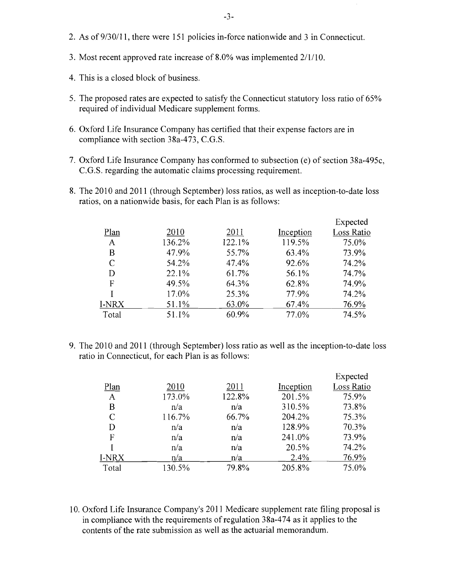- 2. As of9/30/11, there were 151 policies in-force nationwide and 3 in Connecticut.
- 3. Most recent approved rate increase of 8.0% was implemented 2/1/10.
- 4. This is a closed block of business.
- 5. The proposed rates are expected to satisfy the Connecticut statutory loss ratio of 65% required of individual Medicare supplement forms.
- 6. Oxford Life Insurance Company has certified that their expense factors are in compliance with section 38a-473, C.G.S.
- 7. Oxford Life Insurance Company has conformed to subsection (e) of section 38a-495c, C.G.S. regarding the automatic claims processing requirement.
- 8. The 2010 and 2011 (through September) loss ratios, as well as inception-to-date loss ratios, on a nationwide basis, for each Plan is as follows:

|       |        |        |           | Expected   |
|-------|--------|--------|-----------|------------|
| Plan  | 2010   | 2011   | Inception | Loss Ratio |
| A     | 136.2% | 122.1% | 119.5%    | 75.0%      |
| B     | 47.9%  | 55.7%  | 63.4%     | 73.9%      |
| C     | 54.2%  | 47.4%  | 92.6%     | 74.2%      |
| D     | 22.1%  | 61.7%  | 56.1%     | 74.7%      |
| F     | 49.5%  | 64.3%  | 62.8%     | 74.9%      |
|       | 17.0%  | 25.3%  | 77.9%     | 74.2%      |
| I-NRX | 51.1%  | 63.0%  | 67.4%     | 76.9%      |
| Total | 51.1%  | 60.9%  | 77.0%     | 74.5%      |

9. The 2010 and 2011 (through September) loss ratio as well as the inception-to-date loss ratio in Connecticut, for each Plan is as follows:

|               |        |        |           | Expected   |
|---------------|--------|--------|-----------|------------|
| Plan          | 2010   | 2011   | Inception | Loss Ratio |
| $\mathbf{A}$  | 173.0% | 122.8% | 201.5%    | 75.9%      |
| B             | n/a    | n/a    | 310.5%    | 73.8%      |
| $\mathcal{C}$ | 116.7% | 66.7%  | 204.2%    | 75.3%      |
| D             | n/a    | n/a    | 128.9%    | 70.3%      |
| F             | n/a    | n/a    | 241.0%    | 73.9%      |
|               | n/a    | n/a    | 20.5%     | 74.2%      |
| I-NRX         | n/a    | n/a    | 2.4%      | 76.9%      |
| Total         | 130.5% | 79.8%  | 205.8%    | 75.0%      |

10. Oxford Life Insurance Company's 2011 Medicare supplement rate filing proposal is in compliance with the requirements of regulation 38a-474 as it applies to the contents of the rate submission as well as the actuarial memorandum.